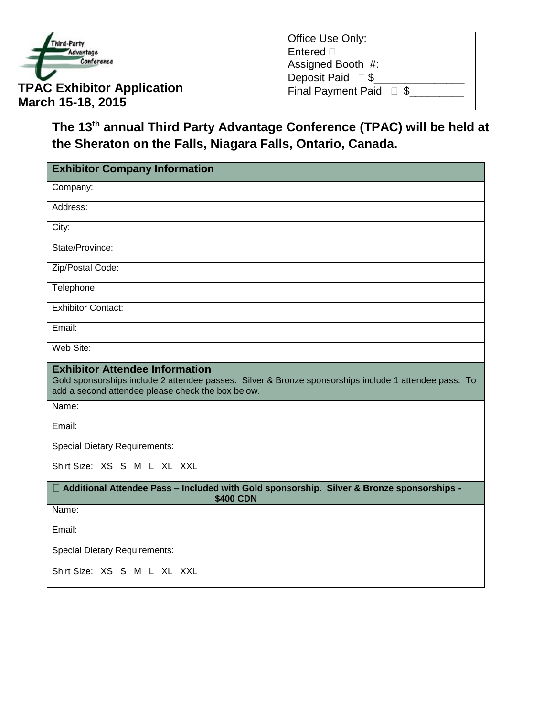

| Office Use Only:                |  |
|---------------------------------|--|
| Entered $\Box$                  |  |
| Assigned Booth #:               |  |
| Deposit Paid $\square$ \$       |  |
| Final Payment Paid $\square$ \$ |  |
|                                 |  |

**The 13th annual Third Party Advantage Conference (TPAC) will be held at the Sheraton on the Falls, Niagara Falls, Ontario, Canada.**

| <b>Exhibitor Company Information</b>                                                                                                                                                                |
|-----------------------------------------------------------------------------------------------------------------------------------------------------------------------------------------------------|
| Company:                                                                                                                                                                                            |
| Address:                                                                                                                                                                                            |
| City:                                                                                                                                                                                               |
| State/Province:                                                                                                                                                                                     |
| Zip/Postal Code:                                                                                                                                                                                    |
| Telephone:                                                                                                                                                                                          |
| <b>Exhibitor Contact:</b>                                                                                                                                                                           |
| Email:                                                                                                                                                                                              |
| Web Site:                                                                                                                                                                                           |
| <b>Exhibitor Attendee Information</b><br>Gold sponsorships include 2 attendee passes. Silver & Bronze sponsorships include 1 attendee pass. To<br>add a second attendee please check the box below. |
| Name:                                                                                                                                                                                               |
| Email:                                                                                                                                                                                              |
| <b>Special Dietary Requirements:</b>                                                                                                                                                                |
| Shirt Size: XS S M L XL XXL                                                                                                                                                                         |
| □ Additional Attendee Pass - Included with Gold sponsorship. Silver & Bronze sponsorships -<br><b>\$400 CDN</b>                                                                                     |
| Name:                                                                                                                                                                                               |
| Email:                                                                                                                                                                                              |
| <b>Special Dietary Requirements:</b>                                                                                                                                                                |
| Shirt Size: XS S M L XL XXL                                                                                                                                                                         |